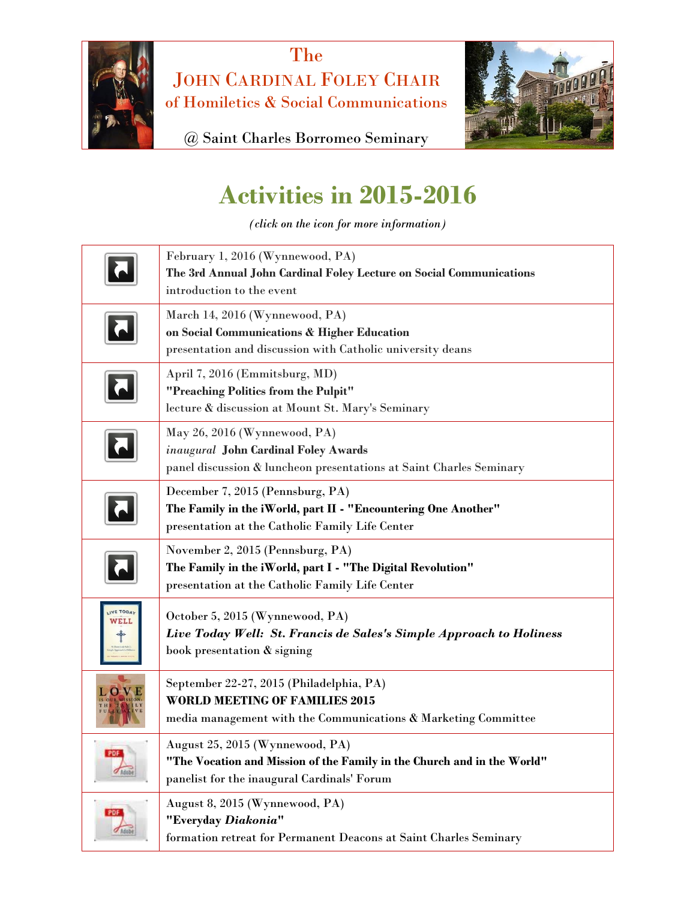

The JOHN CARDINAL FOLEY CHAIR of Homiletics & Social Communications



@ Saint Charles Borromeo Seminary

## **Activities in 2015-2016**

*(click on the icon for more information)*

|                  | February 1, 2016 (Wynnewood, PA)<br>The 3rd Annual John Cardinal Foley Lecture on Social Communications<br>introduction to the event                      |
|------------------|-----------------------------------------------------------------------------------------------------------------------------------------------------------|
|                  | March 14, 2016 (Wynnewood, PA)<br>on Social Communications & Higher Education<br>presentation and discussion with Catholic university deans               |
|                  | April 7, 2016 (Emmitsburg, MD)<br>"Preaching Politics from the Pulpit"<br>lecture & discussion at Mount St. Mary's Seminary                               |
|                  | May 26, 2016 (Wynnewood, PA)<br>inaugural John Cardinal Foley Awards<br>panel discussion & luncheon presentations at Saint Charles Seminary               |
|                  | December 7, 2015 (Pennsburg, PA)<br>The Family in the iWorld, part II - "Encountering One Another"<br>presentation at the Catholic Family Life Center     |
|                  | November 2, 2015 (Pennsburg, PA)<br>The Family in the iWorld, part I - "The Digital Revolution"<br>presentation at the Catholic Family Life Center        |
| IVE TODA<br>WELL | October 5, 2015 (Wynnewood, PA)<br>Live Today Well: St. Francis de Sales's Simple Approach to Holiness<br>book presentation & signing                     |
|                  | September 22-27, 2015 (Philadelphia, PA)<br><b>WORLD MEETING OF FAMILIES 2015</b><br>media management with the Communications & Marketing Committee       |
| PDF              | August 25, 2015 (Wynnewood, PA)<br>"The Vocation and Mission of the Family in the Church and in the World"<br>panelist for the inaugural Cardinals' Forum |
|                  | August 8, 2015 (Wynnewood, PA)<br>"Everyday Diakonia"<br>formation retreat for Permanent Deacons at Saint Charles Seminary                                |